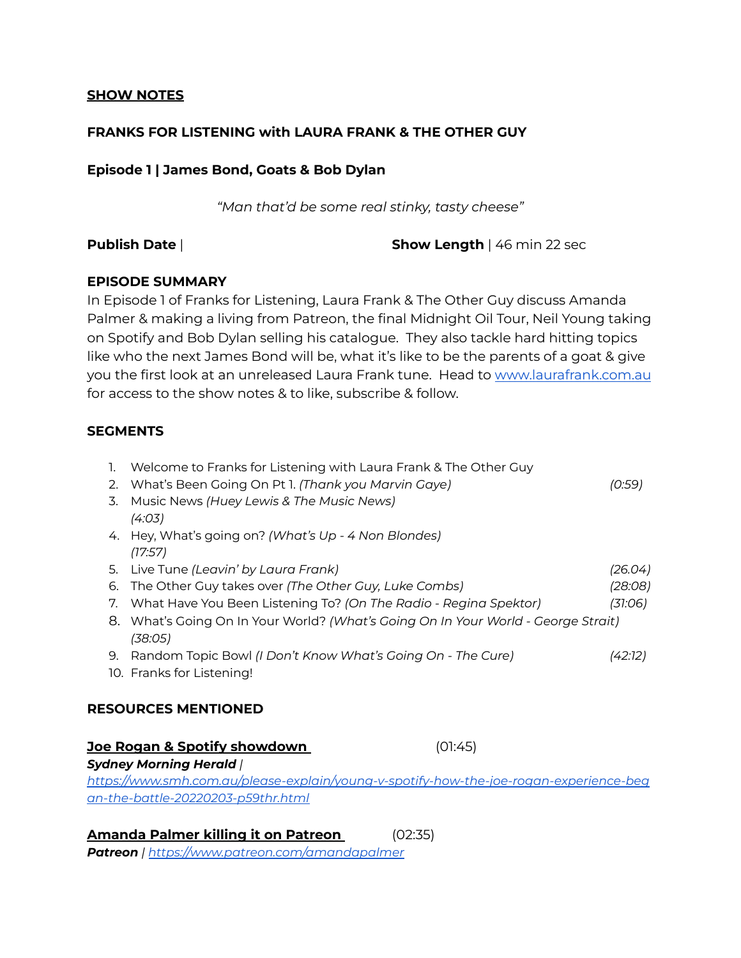## **SHOW NOTES**

## **FRANKS FOR LISTENING with LAURA FRANK & THE OTHER GUY**

**Episode 1 | James Bond, Goats & Bob Dylan**

*"Man that'd be some real stinky, tasty cheese"*

**Publish Date** | **Show Length** | 46 min 22 sec

## **EPISODE SUMMARY**

In Episode 1 of Franks for Listening, Laura Frank & The Other Guy discuss Amanda Palmer & making a living from Patreon, the final Midnight Oil Tour, Neil Young taking on Spotify and Bob Dylan selling his catalogue. They also tackle hard hitting topics like who the next James Bond will be, what it's like to be the parents of a goat & give you the first look at an unreleased Laura Frank tune. Head to [www.laurafrank.com.au](http://www.laurafrank.com.au) for access to the show notes & to like, subscribe & follow.

## **SEGMENTS**

| 2.                                    | Welcome to Franks for Listening with Laura Frank & The Other Guy<br>What's Been Going On Pt 1. (Thank you Marvin Gaye) |  | (0:59)  |  |  |
|---------------------------------------|------------------------------------------------------------------------------------------------------------------------|--|---------|--|--|
| 3.                                    | Music News (Huey Lewis & The Music News)<br>(4:03)                                                                     |  |         |  |  |
|                                       | 4. Hey, What's going on? (What's Up - 4 Non Blondes)<br>(17:57)                                                        |  |         |  |  |
|                                       | 5. Live Tune (Leavin' by Laura Frank)                                                                                  |  | (26.04) |  |  |
| 6.                                    | The Other Guy takes over (The Other Guy, Luke Combs)                                                                   |  | (28:08) |  |  |
| 7.                                    | What Have You Been Listening To? (On The Radio - Regina Spektor)                                                       |  | (31:06) |  |  |
| 8.                                    | What's Going On In Your World? (What's Going On In Your World - George Strait)<br>(38:05)                              |  |         |  |  |
| 9.                                    | Random Topic Bowl (I Don't Know What's Going On - The Cure)                                                            |  | (42:12) |  |  |
|                                       | 10. Franks for Listening!                                                                                              |  |         |  |  |
| <b>RESOURCES MENTIONED</b>            |                                                                                                                        |  |         |  |  |
| Joe Rogan & Spotify showdown<br>01:45 |                                                                                                                        |  |         |  |  |

*Sydney Morning Herald | https:/ [www.smh.com.au/please-explain/young-v-spotify-how-the-joe-rogan-experience-beg](https://www.smh.com.au/please-explain/young-v-spotify-how-the-joe-rogan-experience-began-the-battle-20220203-p59thr.html) [an-the-battle-20220203-p59thr.html](https://www.smh.com.au/please-explain/young-v-spotify-how-the-joe-rogan-experience-began-the-battle-20220203-p59thr.html)*

**Amanda Palmer killing it on Patreon** (02:35)

*Patreon | https:/ [www.patreon.com/amandapalmer](https://www.patreon.com/amandapalmer)*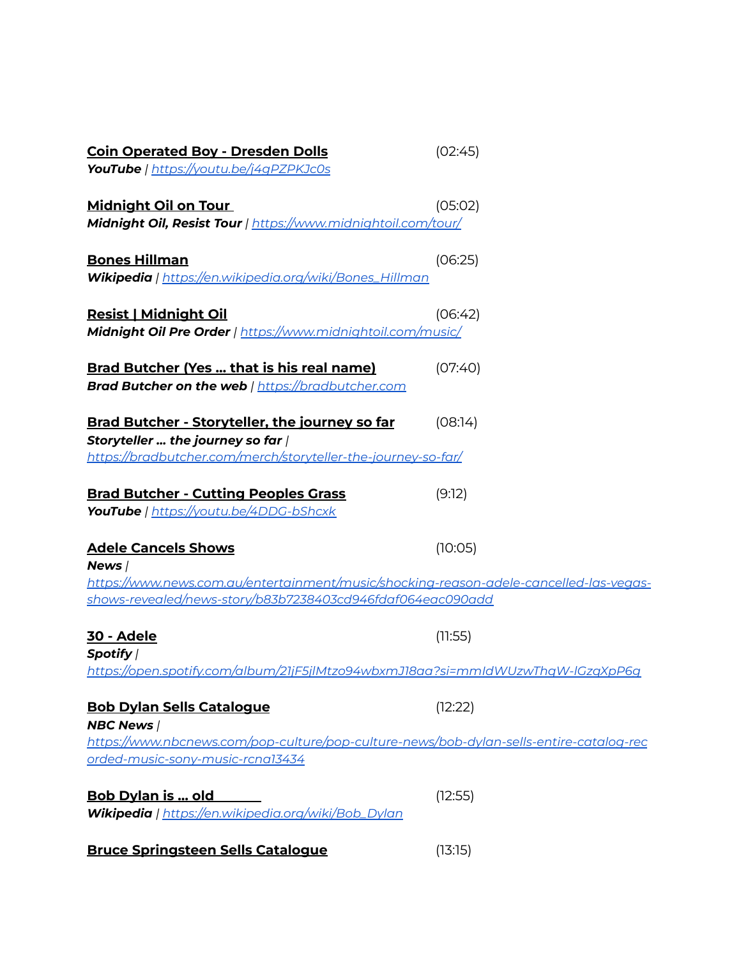| <b>Coin Operated Boy - Dresden Dolls</b>                                                                     | (02:45) |
|--------------------------------------------------------------------------------------------------------------|---------|
| <b>YouTube</b>   <u>https://youtu.be/j4qPZPKJc0s</u>                                                         |         |
| <u>Midnight Oil on Tour</u><br>Midnight Oil, Resist Tour   https://www.midnightoil.com/tour/                 | (05:02) |
| <b>Bones Hillman</b><br>Wikipedia   https://en.wikipedia.org/wiki/Bones_Hillman                              | (06:25) |
| <u> Resist   Midnight Oil</u><br>Midnight Oil Pre Order   https://www.midnightoil.com/music/                 | (06:42) |
| <b>Brad Butcher (Yes  that is his real name)</b><br><b>Brad Butcher on the web</b>   https://bradbutcher.com | (07:40) |
| <b>Brad Butcher - Storyteller, the journey so far</b><br>Storyteller  the journey so far /                   | (08:14) |
| https://bradbutcher.com/merch/storyteller-the-journey-so-far/                                                |         |
| <b>Brad Butcher - Cutting Peoples Grass</b><br><b>YouTube</b>   https://youtu.be/4DDG-bShcxk                 | (9:12)  |
| <b>Adele Cancels Shows</b><br>News /                                                                         | (10:05) |
| https://www.news.com.au/entertainment/music/shocking-reason-adele-cancelled-las-vegas-                       |         |
| <u>shows-revealed/news-story/b83b7238403cd946fdaf064eac090add</u>                                            |         |
| <u>30 - Adele</u><br>Spotify /                                                                               | (11:55) |
| https://open.spotify.com/album/21jF5jlMtzo94wbxmJ18aa?si=mmldWUzwThqW-lGzqXpP6q                              |         |
| <b>Bob Dylan Sells Catalogue</b><br><b>NBC News /</b>                                                        | (12:22) |
| https://www.nbcnews.com/pop-culture/pop-culture-news/bob-dylan-sells-entire-catalog-rec                      |         |
| orded-music-sony-music-rcnal3434                                                                             |         |
| <u>Bob Dylan is  old</u>                                                                                     | (12:55) |
| Wikipedia   https://en.wikipedia.org/wiki/Bob_Dylan                                                          |         |
| <b>Bruce Springsteen Sells Catalogue</b>                                                                     | (13:15) |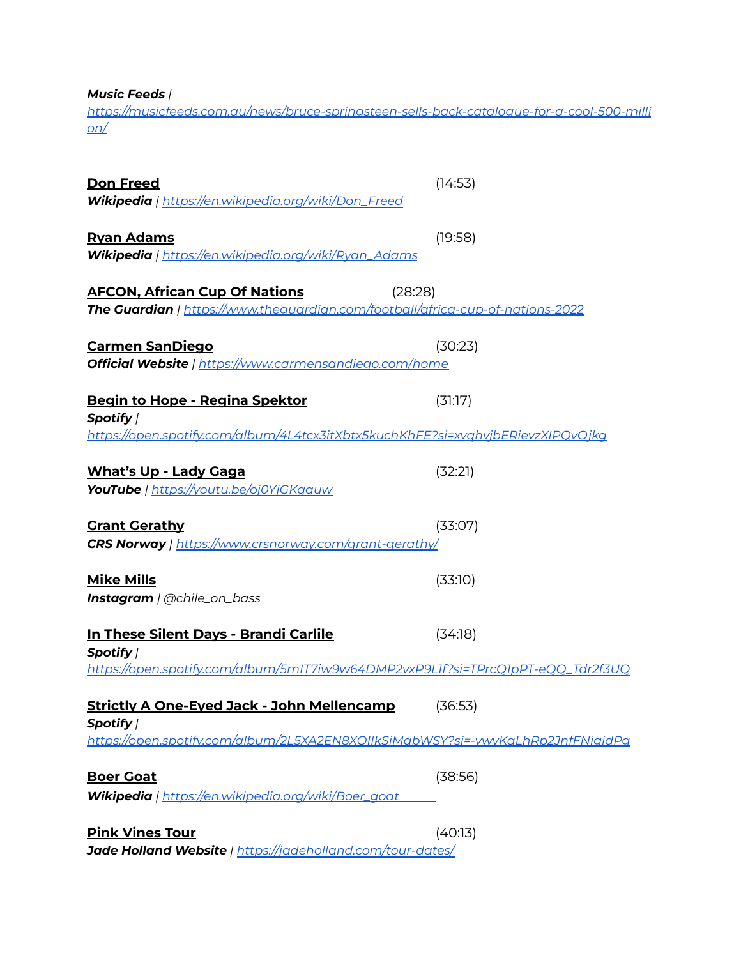*Music Feeds |*

*https:/ [musicfeeds.com.au/news/bruce-springsteen-sells-back-catalogue-for-a-cool-500-milli](https://musicfeeds.com.au/news/bruce-springsteen-sells-back-catalogue-for-a-cool-500-million/) [on/](https://musicfeeds.com.au/news/bruce-springsteen-sells-back-catalogue-for-a-cool-500-million/)*

| Don Freed<br>Wikipedia   https://en.wikipedia.org/wiki/Don_Freed                                                                  | (14:53) |
|-----------------------------------------------------------------------------------------------------------------------------------|---------|
| <u> Ryan Adams</u><br>Wikipedia   https://en.wikipedia.org/wiki/Ryan_Adams                                                        | (19:58) |
| <b>AFCON, African Cup Of Nations</b><br>(28:28)<br>The Guardian   https://www.theguardian.com/football/africa-cup-of-nations-2022 |         |
| <u> Carmen SanDiego</u><br><b>Official Website</b>   https://www.carmensandiego.com/home                                          | (30:23) |
| <u> Begin to Hope - Regina Spektor</u><br>Spotify /                                                                               | (31:17) |
| https://open.spotify.com/album/4L4tcx3itXbtx5kuchKhFE?si=xvqhvjbERievzXIPQvOjkq                                                   |         |
| <b>What's Up - Lady Gaga</b><br><b>YouTube</b>   <u>https://youtu.be/oj0YjGKqauw</u>                                              | (32:21) |
| <b>Grant Gerathy</b><br><b>CRS Norway</b>   https://www.crsnorway.com/grant-gerathy/                                              | (33:07) |
| <b>Mike Mills</b><br><b>Instagram</b>   @chile_on_bass                                                                            | (33:10) |
| <u> In These Silent Days - Brandi Carlile</u><br>Spotify /                                                                        | (34:18) |
| https://open.spotify.com/album/5mIT7iw9w64DMP2vxP9L1f?si=TPrcQ1pPT-eQQ_Tdr2f3UQ                                                   |         |
| <b>Strictly A One-Eyed Jack - John Mellencamp</b><br>Spotify /                                                                    | (36:53) |
| https://open.spotify.com/album/2L5XA2EN8XOIIkSiMgbWSY?si=-wwKaLhRp2JnfFNigidPg                                                    |         |
| <b>Boer Goat</b><br>Wikipedia   https://en.wikipedia.org/wiki/Boer_goat                                                           | (38:56) |
| <b>Pink Vines Tour</b><br>Jade Holland Website   https://jadeholland.com/tour-dates/                                              | (40:13) |